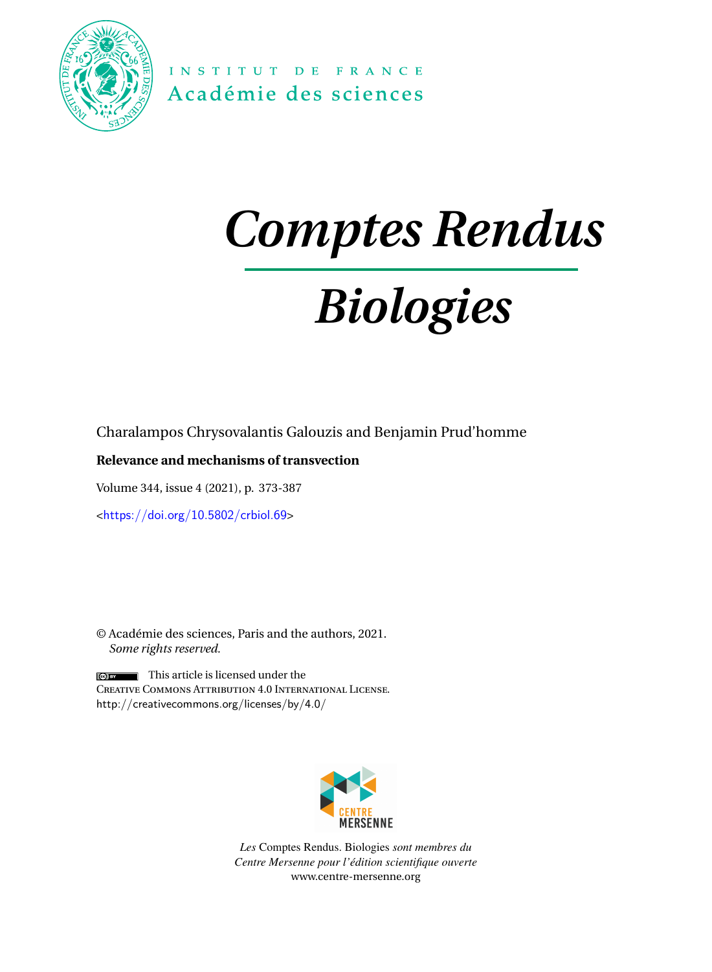

INSTITUT DE FRANCE Académie des sciences

# *Comptes Rendus*

# *Biologies*

Charalampos Chrysovalantis Galouzis and Benjamin Prud'homme

# **Relevance and mechanisms of transvection**

Volume 344, issue 4 (2021), p. 373-387

<<https://doi.org/10.5802/crbiol.69>>

© Académie des sciences, Paris and the authors, 2021. *Some rights reserved.*

 $\Box$  This article is licensed under the Creative Commons Attribution 4.0 International License. <http://creativecommons.org/licenses/by/4.0/>



*Les* Comptes Rendus. Biologies *sont membres du Centre Mersenne pour l'édition scientifique ouverte* [www.centre-mersenne.org](https://www.centre-mersenne.org)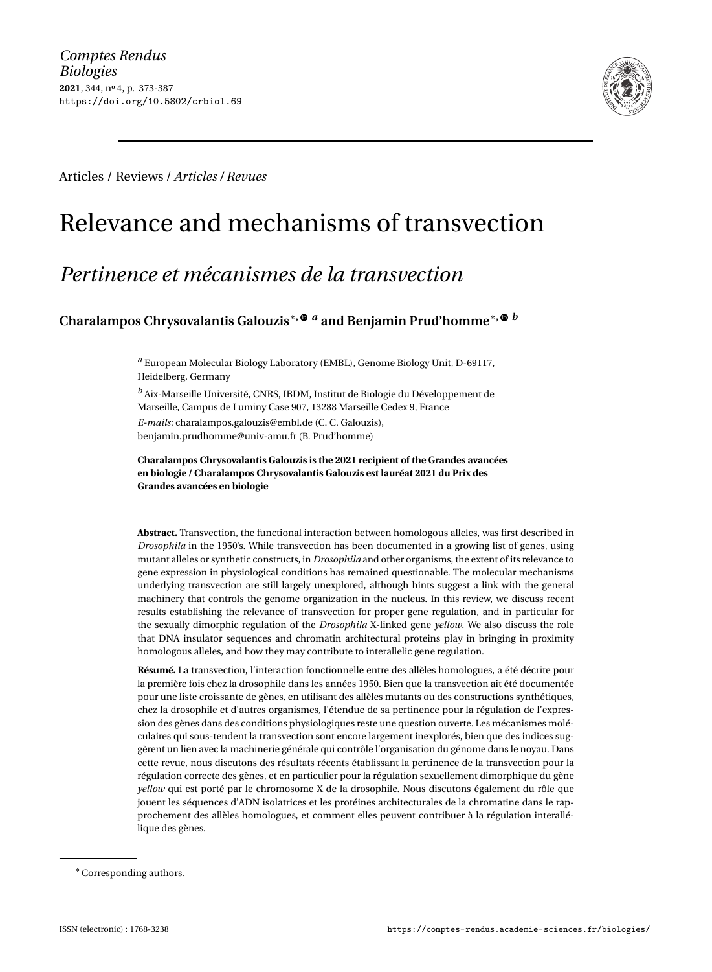

Articles / Reviews / *Articles / Revues*

# Relevance and mechanisms of transvection

# *Pertinence et mécanismes de la transvection*

**Charalampos Chrysovalantis Galouzis**∗**,** *<sup>a</sup>* **and Benjamin Prud'homme**∗**,** *<sup>b</sup>*

*<sup>a</sup>* European Molecular Biology Laboratory (EMBL), Genome Biology Unit, D-69117, Heidelberg, Germany

*<sup>b</sup>* Aix-Marseille Université, CNRS, IBDM, Institut de Biologie du Développement de Marseille, Campus de Luminy Case 907, 13288 Marseille Cedex 9, France

*E-mails:* [charalampos.galouzis@embl.de](mailto:charalampos.galouzis@embl.de) (C. C. Galouzis), [benjamin.prudhomme@univ-amu.fr](mailto:benjamin.prudhomme@univ-amu.fr) (B. Prud'homme)

**Charalampos Chrysovalantis Galouzis is the 2021 recipient of the Grandes avancées en biologie / Charalampos Chrysovalantis Galouzis est lauréat 2021 du Prix des Grandes avancées en biologie**

**Abstract.** Transvection, the functional interaction between homologous alleles, was first described in *Drosophila* in the 1950's. While transvection has been documented in a growing list of genes, using mutant alleles or synthetic constructs, in *Drosophila* and other organisms, the extent of its relevance to gene expression in physiological conditions has remained questionable. The molecular mechanisms underlying transvection are still largely unexplored, although hints suggest a link with the general machinery that controls the genome organization in the nucleus. In this review, we discuss recent results establishing the relevance of transvection for proper gene regulation, and in particular for the sexually dimorphic regulation of the *Drosophila* X-linked gene *yellow*. We also discuss the role that DNA insulator sequences and chromatin architectural proteins play in bringing in proximity homologous alleles, and how they may contribute to interallelic gene regulation.

**Résumé.** La transvection, l'interaction fonctionnelle entre des allèles homologues, a été décrite pour la première fois chez la drosophile dans les années 1950. Bien que la transvection ait été documentée pour une liste croissante de gènes, en utilisant des allèles mutants ou des constructions synthétiques, chez la drosophile et d'autres organismes, l'étendue de sa pertinence pour la régulation de l'expression des gènes dans des conditions physiologiques reste une question ouverte. Les mécanismes moléculaires qui sous-tendent la transvection sont encore largement inexplorés, bien que des indices suggèrent un lien avec la machinerie générale qui contrôle l'organisation du génome dans le noyau. Dans cette revue, nous discutons des résultats récents établissant la pertinence de la transvection pour la régulation correcte des gènes, et en particulier pour la régulation sexuellement dimorphique du gène *yellow* qui est porté par le chromosome X de la drosophile. Nous discutons également du rôle que jouent les séquences d'ADN isolatrices et les protéines architecturales de la chromatine dans le rapprochement des allèles homologues, et comment elles peuvent contribuer à la régulation interallélique des gènes.

<sup>∗</sup>Corresponding authors.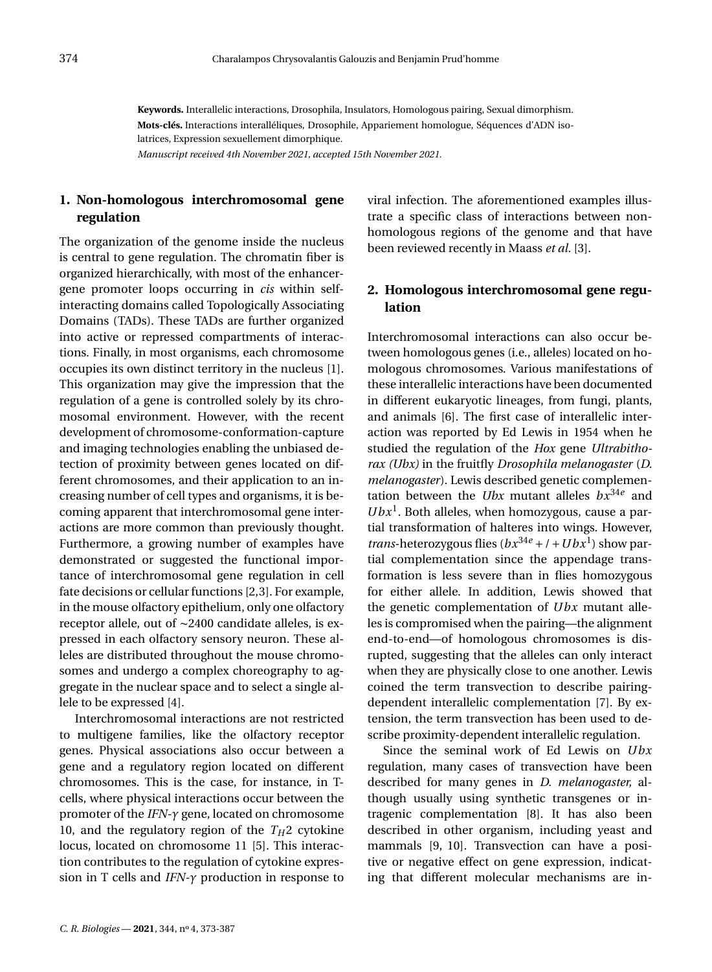**Keywords.** Interallelic interactions, Drosophila, Insulators, Homologous pairing, Sexual dimorphism. **Mots-clés.** Interactions interalléliques, Drosophile, Appariement homologue, Séquences d'ADN isolatrices, Expression sexuellement dimorphique.

*Manuscript received 4th November 2021, accepted 15th November 2021.*

# **1. Non-homologous interchromosomal gene regulation**

The organization of the genome inside the nucleus is central to gene regulation. The chromatin fiber is organized hierarchically, with most of the enhancergene promoter loops occurring in *cis* within selfinteracting domains called Topologically Associating Domains (TADs). These TADs are further organized into active or repressed compartments of interactions. Finally, in most organisms, each chromosome occupies its own distinct territory in the nucleus [\[1\]](#page-14-0). This organization may give the impression that the regulation of a gene is controlled solely by its chromosomal environment. However, with the recent development of chromosome-conformation-capture and imaging technologies enabling the unbiased detection of proximity between genes located on different chromosomes, and their application to an increasing number of cell types and organisms, it is becoming apparent that interchromosomal gene interactions are more common than previously thought. Furthermore, a growing number of examples have demonstrated or suggested the functional importance of interchromosomal gene regulation in cell fate decisions or cellular functions [\[2](#page-14-1)[,3\]](#page-14-2). For example, in the mouse olfactory epithelium, only one olfactory receptor allele, out of ∼2400 candidate alleles, is expressed in each olfactory sensory neuron. These alleles are distributed throughout the mouse chromosomes and undergo a complex choreography to aggregate in the nuclear space and to select a single allele to be expressed [\[4\]](#page-14-3).

Interchromosomal interactions are not restricted to multigene families, like the olfactory receptor genes. Physical associations also occur between a gene and a regulatory region located on different chromosomes. This is the case, for instance, in Tcells, where physical interactions occur between the promoter of the *IFN-γ* gene, located on chromosome 10, and the regulatory region of the  $T_H$ 2 cytokine locus, located on chromosome 11 [\[5\]](#page-14-4). This interaction contributes to the regulation of cytokine expression in T cells and *IFN-γ* production in response to

viral infection. The aforementioned examples illustrate a specific class of interactions between nonhomologous regions of the genome and that have been reviewed recently in Maass *et al.* [\[3\]](#page-14-2).

# **2. Homologous interchromosomal gene regulation**

Interchromosomal interactions can also occur between homologous genes (i.e., alleles) located on homologous chromosomes. Various manifestations of these interallelic interactions have been documented in different eukaryotic lineages, from fungi, plants, and animals [\[6\]](#page-14-5). The first case of interallelic interaction was reported by Ed Lewis in 1954 when he studied the regulation of the *Hox* gene *Ultrabithorax (Ubx)* in the fruitfly *Drosophila melanogaster* (*D. melanogaster*). Lewis described genetic complementation between the *Ubx* mutant alleles  $bx^{34e}$  and  $Ubx<sup>1</sup>$ . Both alleles, when homozygous, cause a partial transformation of halteres into wings. However, *trans*-heterozygous flies  $(bx^{34e} + l + Ubx^{1})$  show partial complementation since the appendage transformation is less severe than in flies homozygous for either allele. In addition, Lewis showed that the genetic complementation of *Ubx* mutant alleles is compromised when the pairing—the alignment end-to-end—of homologous chromosomes is disrupted, suggesting that the alleles can only interact when they are physically close to one another. Lewis coined the term transvection to describe pairingdependent interallelic complementation [\[7\]](#page-14-6). By extension, the term transvection has been used to describe proximity-dependent interallelic regulation.

Since the seminal work of Ed Lewis on *Ubx* regulation, many cases of transvection have been described for many genes in *D. melanogaster,* although usually using synthetic transgenes or intragenic complementation [\[8\]](#page-14-7). It has also been described in other organism, including yeast and mammals [\[9,](#page-14-8) [10\]](#page-14-9). Transvection can have a positive or negative effect on gene expression, indicating that different molecular mechanisms are in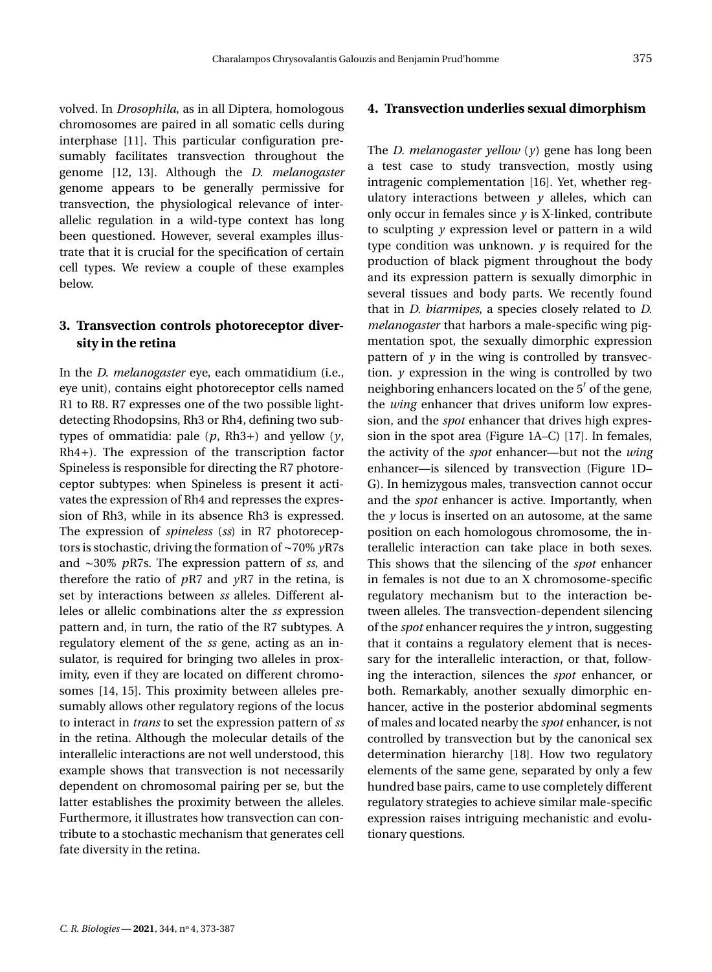volved. In *Drosophila*, as in all Diptera, homologous chromosomes are paired in all somatic cells during interphase [\[11\]](#page-14-10). This particular configuration presumably facilitates transvection throughout the genome [\[12,](#page-14-11) [13\]](#page-14-12). Although the *D. melanogaster* genome appears to be generally permissive for transvection, the physiological relevance of interallelic regulation in a wild-type context has long been questioned. However, several examples illustrate that it is crucial for the specification of certain cell types. We review a couple of these examples below.

# **3. Transvection controls photoreceptor diversity in the retina**

In the *D. melanogaster* eye, each ommatidium (i.e., eye unit), contains eight photoreceptor cells named R1 to R8. R7 expresses one of the two possible lightdetecting Rhodopsins, Rh3 or Rh4, defining two subtypes of ommatidia: pale  $(p, Rh3+)$  and yellow  $(y,$ Rh4+). The expression of the transcription factor Spineless is responsible for directing the R7 photoreceptor subtypes: when Spineless is present it activates the expression of Rh4 and represses the expression of Rh3, while in its absence Rh3 is expressed. The expression of *spineless* (*ss*) in R7 photoreceptors is stochastic, driving the formation of ∼70% *y*R7s and ∼30% *p*R7s. The expression pattern of *ss*, and therefore the ratio of *p*R7 and *y*R7 in the retina, is set by interactions between *ss* alleles. Different alleles or allelic combinations alter the *ss* expression pattern and, in turn, the ratio of the R7 subtypes. A regulatory element of the *ss* gene, acting as an insulator, is required for bringing two alleles in proximity, even if they are located on different chromosomes [\[14,](#page-14-13) [15\]](#page-14-14). This proximity between alleles presumably allows other regulatory regions of the locus to interact in *trans* to set the expression pattern of *ss* in the retina. Although the molecular details of the interallelic interactions are not well understood, this example shows that transvection is not necessarily dependent on chromosomal pairing per se, but the latter establishes the proximity between the alleles. Furthermore, it illustrates how transvection can contribute to a stochastic mechanism that generates cell fate diversity in the retina.

#### **4. Transvection underlies sexual dimorphism**

The *D. melanogaster yellow* (*y*) gene has long been a test case to study transvection, mostly using intragenic complementation [\[16\]](#page-14-15). Yet, whether regulatory interactions between  $y$  alleles, which can only occur in females since  $\gamma$  is X-linked, contribute to sculpting *y* expression level or pattern in a wild type condition was unknown.  $\nu$  is required for the production of black pigment throughout the body and its expression pattern is sexually dimorphic in several tissues and body parts. We recently found that in *D. biarmipes*, a species closely related to *D. melanogaster* that harbors a male-specific wing pigmentation spot, the sexually dimorphic expression pattern of  $y$  in the wing is controlled by transvection. *y* expression in the wing is controlled by two neighboring enhancers located on the 5' of the gene, the *wing* enhancer that drives uniform low expression, and the *spot* enhancer that drives high expression in the spot area (Figure [1A](#page-4-0)–C) [\[17\]](#page-14-16). In females, the activity of the *spot* enhancer—but not the *wing* enhancer—is silenced by transvection (Figure [1D](#page-4-0)– G). In hemizygous males, transvection cannot occur and the *spot* enhancer is active. Importantly, when the *y* locus is inserted on an autosome, at the same position on each homologous chromosome, the interallelic interaction can take place in both sexes. This shows that the silencing of the *spot* enhancer in females is not due to an X chromosome-specific regulatory mechanism but to the interaction between alleles. The transvection-dependent silencing of the *spot* enhancer requires the *y* intron, suggesting that it contains a regulatory element that is necessary for the interallelic interaction, or that, following the interaction, silences the *spot* enhancer, or both. Remarkably, another sexually dimorphic enhancer, active in the posterior abdominal segments of males and located nearby the *spot* enhancer, is not controlled by transvection but by the canonical sex determination hierarchy [\[18\]](#page-14-17). How two regulatory elements of the same gene, separated by only a few hundred base pairs, came to use completely different regulatory strategies to achieve similar male-specific expression raises intriguing mechanistic and evolutionary questions.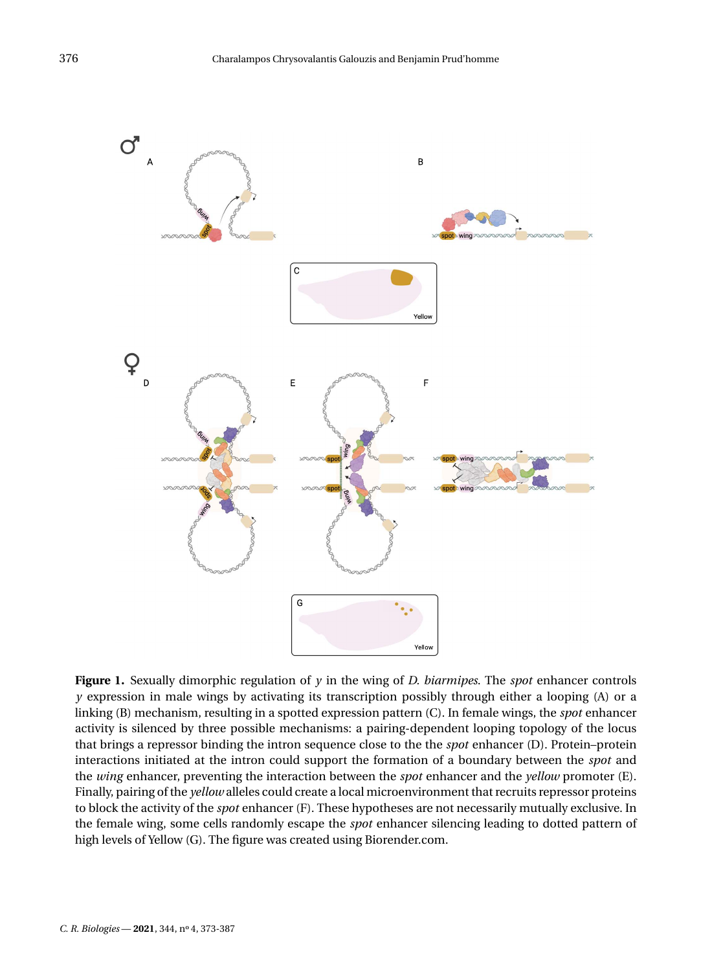

<span id="page-4-0"></span>**Figure 1.** Sexually dimorphic regulation of  $\gamma$  in the wing of *D. biarmipes*. The *spot* enhancer controls *y* expression in male wings by activating its transcription possibly through either a looping (A) or a linking (B) mechanism, resulting in a spotted expression pattern (C). In female wings, the *spot* enhancer activity is silenced by three possible mechanisms: a pairing-dependent looping topology of the locus that brings a repressor binding the intron sequence close to the the *spot* enhancer (D). Protein–protein interactions initiated at the intron could support the formation of a boundary between the *spot* and the *wing* enhancer, preventing the interaction between the *spot* enhancer and the *yellow* promoter (E). Finally, pairing of the *yellow* alleles could create a local microenvironment that recruits repressor proteins to block the activity of the *spot* enhancer (F). These hypotheses are not necessarily mutually exclusive. In the female wing, some cells randomly escape the *spot* enhancer silencing leading to dotted pattern of high levels of Yellow (G). The figure was created using [Biorender.com.](http://Biorender.com)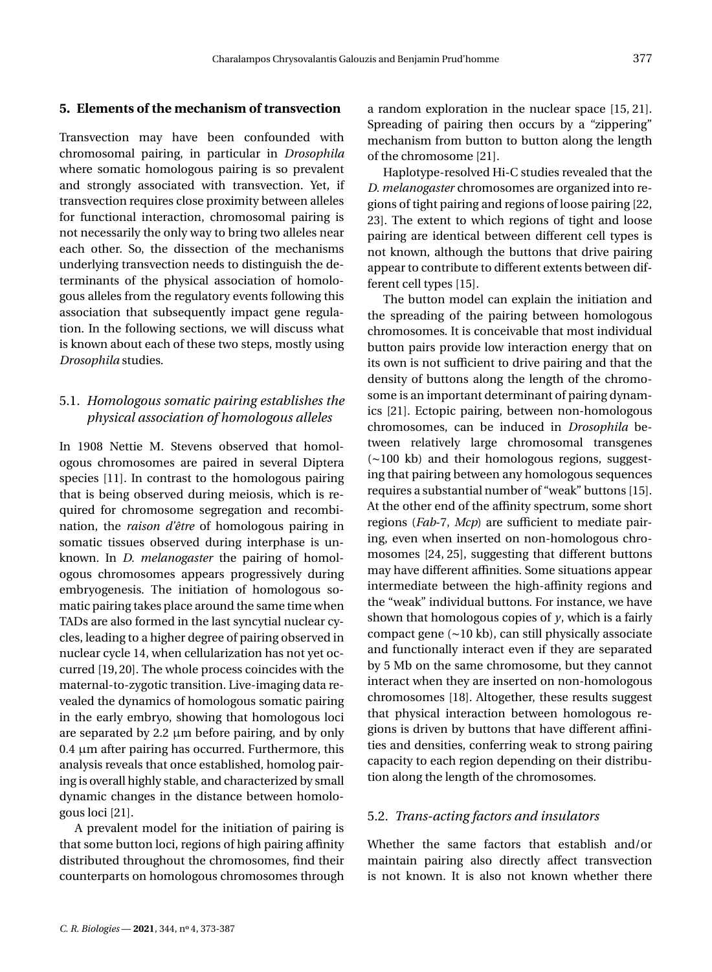# **5. Elements of the mechanism of transvection**

Transvection may have been confounded with chromosomal pairing, in particular in *Drosophila* where somatic homologous pairing is so prevalent and strongly associated with transvection. Yet, if transvection requires close proximity between alleles for functional interaction, chromosomal pairing is not necessarily the only way to bring two alleles near each other. So, the dissection of the mechanisms underlying transvection needs to distinguish the determinants of the physical association of homologous alleles from the regulatory events following this association that subsequently impact gene regulation. In the following sections, we will discuss what is known about each of these two steps, mostly using *Drosophila* studies.

# 5.1. *Homologous somatic pairing establishes the physical association of homologous alleles*

In 1908 Nettie M. Stevens observed that homologous chromosomes are paired in several Diptera species [\[11\]](#page-14-10). In contrast to the homologous pairing that is being observed during meiosis, which is required for chromosome segregation and recombination, the *raison d'être* of homologous pairing in somatic tissues observed during interphase is unknown. In *D. melanogaster* the pairing of homologous chromosomes appears progressively during embryogenesis. The initiation of homologous somatic pairing takes place around the same time when TADs are also formed in the last syncytial nuclear cycles, leading to a higher degree of pairing observed in nuclear cycle 14, when cellularization has not yet occurred [\[19,](#page-14-18)[20\]](#page-14-19). The whole process coincides with the maternal-to-zygotic transition. Live-imaging data revealed the dynamics of homologous somatic pairing in the early embryo, showing that homologous loci are separated by 2.2  $\mu$ m before pairing, and by only 0.4 µm after pairing has occurred. Furthermore, this analysis reveals that once established, homolog pairing is overall highly stable, and characterized by small dynamic changes in the distance between homologous loci [\[21\]](#page-14-20).

A prevalent model for the initiation of pairing is that some button loci, regions of high pairing affinity distributed throughout the chromosomes, find their counterparts on homologous chromosomes through a random exploration in the nuclear space [\[15,](#page-14-14) [21\]](#page-14-20). Spreading of pairing then occurs by a "zippering" mechanism from button to button along the length of the chromosome [\[21\]](#page-14-20).

Haplotype-resolved Hi-C studies revealed that the *D. melanogaster* chromosomes are organized into regions of tight pairing and regions of loose pairing [\[22,](#page-14-21) [23\]](#page-14-22). The extent to which regions of tight and loose pairing are identical between different cell types is not known, although the buttons that drive pairing appear to contribute to different extents between different cell types [\[15\]](#page-14-14).

The button model can explain the initiation and the spreading of the pairing between homologous chromosomes. It is conceivable that most individual button pairs provide low interaction energy that on its own is not sufficient to drive pairing and that the density of buttons along the length of the chromosome is an important determinant of pairing dynamics [\[21\]](#page-14-20). Ectopic pairing, between non-homologous chromosomes, can be induced in *Drosophila* between relatively large chromosomal transgenes (∼100 kb) and their homologous regions, suggesting that pairing between any homologous sequences requires a substantial number of "weak" buttons [\[15\]](#page-14-14). At the other end of the affinity spectrum, some short regions (*Fab*-7, *Mcp*) are sufficient to mediate pairing, even when inserted on non-homologous chromosomes [\[24,](#page-14-23) [25\]](#page-14-24), suggesting that different buttons may have different affinities. Some situations appear intermediate between the high-affinity regions and the "weak" individual buttons. For instance, we have shown that homologous copies of *y*, which is a fairly compact gene (∼10 kb), can still physically associate and functionally interact even if they are separated by 5 Mb on the same chromosome, but they cannot interact when they are inserted on non-homologous chromosomes [\[18\]](#page-14-17). Altogether, these results suggest that physical interaction between homologous regions is driven by buttons that have different affinities and densities, conferring weak to strong pairing capacity to each region depending on their distribution along the length of the chromosomes.

#### 5.2. *Trans-acting factors and insulators*

Whether the same factors that establish and/or maintain pairing also directly affect transvection is not known. It is also not known whether there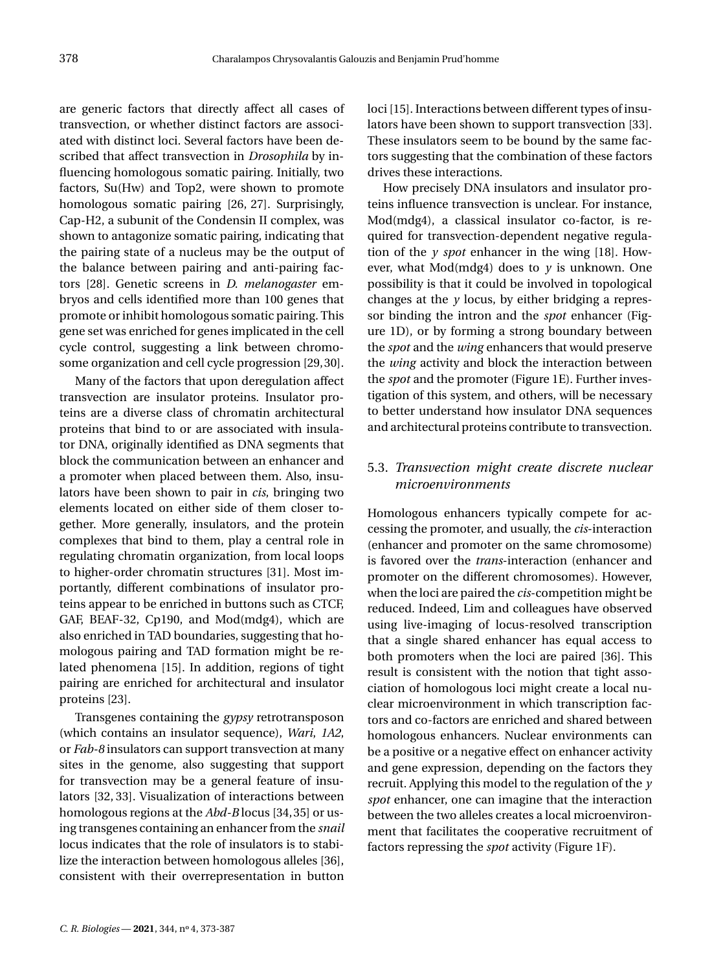are generic factors that directly affect all cases of transvection, or whether distinct factors are associated with distinct loci. Several factors have been described that affect transvection in *Drosophila* by influencing homologous somatic pairing. Initially, two factors, Su(Hw) and Top2, were shown to promote homologous somatic pairing [\[26,](#page-14-25) [27\]](#page-15-0). Surprisingly, Cap-H2, a subunit of the Condensin II complex, was shown to antagonize somatic pairing, indicating that the pairing state of a nucleus may be the output of the balance between pairing and anti-pairing factors [\[28\]](#page-15-1). Genetic screens in *D. melanogaster* embryos and cells identified more than 100 genes that promote or inhibit homologous somatic pairing. This gene set was enriched for genes implicated in the cell cycle control, suggesting a link between chromosome organization and cell cycle progression [\[29,](#page-15-2)[30\]](#page-15-3).

Many of the factors that upon deregulation affect transvection are insulator proteins. Insulator proteins are a diverse class of chromatin architectural proteins that bind to or are associated with insulator DNA, originally identified as DNA segments that block the communication between an enhancer and a promoter when placed between them. Also, insulators have been shown to pair in *cis*, bringing two elements located on either side of them closer together. More generally, insulators, and the protein complexes that bind to them, play a central role in regulating chromatin organization, from local loops to higher-order chromatin structures [\[31\]](#page-15-4). Most importantly, different combinations of insulator proteins appear to be enriched in buttons such as CTCF, GAF, BEAF-32, Cp190, and Mod(mdg4), which are also enriched in TAD boundaries, suggesting that homologous pairing and TAD formation might be related phenomena [\[15\]](#page-14-14). In addition, regions of tight pairing are enriched for architectural and insulator proteins [\[23\]](#page-14-22).

Transgenes containing the *gypsy* retrotransposon (which contains an insulator sequence), *Wari*, *1A2*, or *Fab-8* insulators can support transvection at many sites in the genome, also suggesting that support for transvection may be a general feature of insulators [\[32,](#page-15-5) [33\]](#page-15-6). Visualization of interactions between homologous regions at the *Abd-B* locus [\[34,](#page-15-7)[35\]](#page-15-8) or using transgenes containing an enhancer from the *snail* locus indicates that the role of insulators is to stabilize the interaction between homologous alleles [\[36\]](#page-15-9), consistent with their overrepresentation in button loci [\[15\]](#page-14-14). Interactions between different types of insulators have been shown to support transvection [\[33\]](#page-15-6). These insulators seem to be bound by the same factors suggesting that the combination of these factors drives these interactions.

How precisely DNA insulators and insulator proteins influence transvection is unclear. For instance, Mod(mdg4), a classical insulator co-factor, is required for transvection-dependent negative regulation of the  $\nu$  *spot* enhancer in the wing [\[18\]](#page-14-17). However, what Mod(mdg4) does to  $\gamma$  is unknown. One possibility is that it could be involved in topological changes at the *y* locus, by either bridging a repressor binding the intron and the *spot* enhancer (Figure [1D](#page-4-0)), or by forming a strong boundary between the *spot* and the *wing* enhancers that would preserve the *wing* activity and block the interaction between the *spot* and the promoter (Figure [1E](#page-4-0)). Further investigation of this system, and others, will be necessary to better understand how insulator DNA sequences and architectural proteins contribute to transvection.

# 5.3. *Transvection might create discrete nuclear microenvironments*

Homologous enhancers typically compete for accessing the promoter, and usually, the *cis*-interaction (enhancer and promoter on the same chromosome) is favored over the *trans*-interaction (enhancer and promoter on the different chromosomes). However, when the loci are paired the *cis*-competition might be reduced. Indeed, Lim and colleagues have observed using live-imaging of locus-resolved transcription that a single shared enhancer has equal access to both promoters when the loci are paired [\[36\]](#page-15-9). This result is consistent with the notion that tight association of homologous loci might create a local nuclear microenvironment in which transcription factors and co-factors are enriched and shared between homologous enhancers. Nuclear environments can be a positive or a negative effect on enhancer activity and gene expression, depending on the factors they recruit. Applying this model to the regulation of the *y spot* enhancer, one can imagine that the interaction between the two alleles creates a local microenvironment that facilitates the cooperative recruitment of factors repressing the *spot* activity (Figure [1F](#page-4-0)).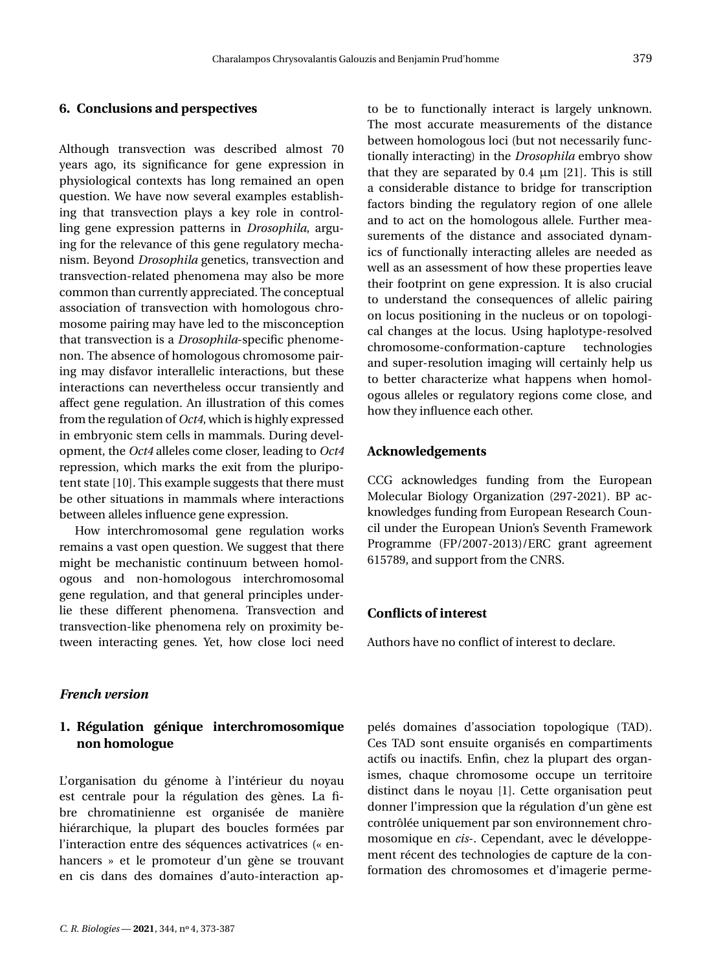#### **6. Conclusions and perspectives**

Although transvection was described almost 70 years ago, its significance for gene expression in physiological contexts has long remained an open question. We have now several examples establishing that transvection plays a key role in controlling gene expression patterns in *Drosophila*, arguing for the relevance of this gene regulatory mechanism. Beyond *Drosophila* genetics, transvection and transvection-related phenomena may also be more common than currently appreciated. The conceptual association of transvection with homologous chromosome pairing may have led to the misconception that transvection is a *Drosophila*-specific phenomenon. The absence of homologous chromosome pairing may disfavor interallelic interactions, but these interactions can nevertheless occur transiently and affect gene regulation. An illustration of this comes from the regulation of *Oct4*, which is highly expressed in embryonic stem cells in mammals. During development, the *Oct4* alleles come closer, leading to *Oct4* repression, which marks the exit from the pluripotent state [\[10\]](#page-14-9). This example suggests that there must be other situations in mammals where interactions between alleles influence gene expression.

How interchromosomal gene regulation works remains a vast open question. We suggest that there might be mechanistic continuum between homologous and non-homologous interchromosomal gene regulation, and that general principles underlie these different phenomena. Transvection and transvection-like phenomena rely on proximity between interacting genes. Yet, how close loci need

*French version*

### **1. Régulation génique interchromosomique non homologue**

L'organisation du génome à l'intérieur du noyau est centrale pour la régulation des gènes. La fibre chromatinienne est organisée de manière hiérarchique, la plupart des boucles formées par l'interaction entre des séquences activatrices (« enhancers » et le promoteur d'un gène se trouvant en cis dans des domaines d'auto-interaction apto be to functionally interact is largely unknown. The most accurate measurements of the distance between homologous loci (but not necessarily functionally interacting) in the *Drosophila* embryo show that they are separated by  $0.4 \mu m$  [\[21\]](#page-14-20). This is still a considerable distance to bridge for transcription factors binding the regulatory region of one allele and to act on the homologous allele. Further measurements of the distance and associated dynamics of functionally interacting alleles are needed as well as an assessment of how these properties leave their footprint on gene expression. It is also crucial to understand the consequences of allelic pairing on locus positioning in the nucleus or on topological changes at the locus. Using haplotype-resolved chromosome-conformation-capture technologies and super-resolution imaging will certainly help us to better characterize what happens when homologous alleles or regulatory regions come close, and how they influence each other.

#### **Acknowledgements**

CCG acknowledges funding from the European Molecular Biology Organization (297-2021). BP acknowledges funding from European Research Council under the European Union's Seventh Framework Programme (FP/2007-2013)/ERC grant agreement 615789, and support from the CNRS.

# **Conflicts of interest**

Authors have no conflict of interest to declare.

pelés domaines d'association topologique (TAD). Ces TAD sont ensuite organisés en compartiments actifs ou inactifs. Enfin, chez la plupart des organismes, chaque chromosome occupe un territoire distinct dans le noyau [\[1\]](#page-14-0). Cette organisation peut donner l'impression que la régulation d'un gène est contrôlée uniquement par son environnement chromosomique en *cis*-. Cependant, avec le développement récent des technologies de capture de la conformation des chromosomes et d'imagerie perme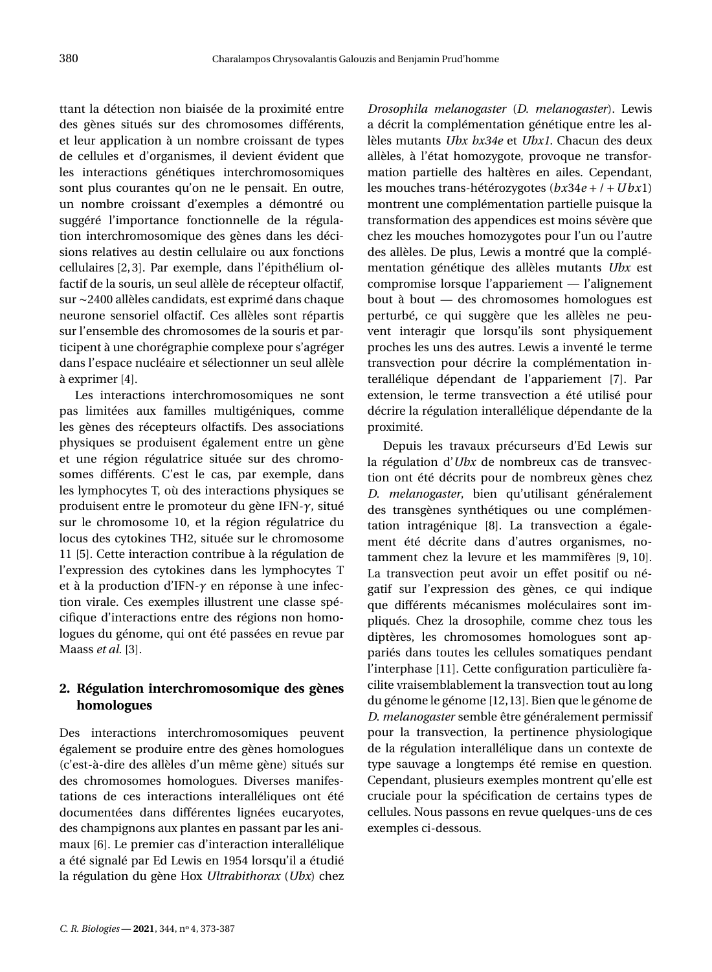ttant la détection non biaisée de la proximité entre des gènes situés sur des chromosomes différents, et leur application à un nombre croissant de types de cellules et d'organismes, il devient évident que les interactions génétiques interchromosomiques sont plus courantes qu'on ne le pensait. En outre, un nombre croissant d'exemples a démontré ou suggéré l'importance fonctionnelle de la régulation interchromosomique des gènes dans les décisions relatives au destin cellulaire ou aux fonctions cellulaires [\[2,](#page-14-1)[3\]](#page-14-2). Par exemple, dans l'épithélium olfactif de la souris, un seul allèle de récepteur olfactif, sur ∼2400 allèles candidats, est exprimé dans chaque neurone sensoriel olfactif. Ces allèles sont répartis sur l'ensemble des chromosomes de la souris et participent à une chorégraphie complexe pour s'agréger dans l'espace nucléaire et sélectionner un seul allèle à exprimer [\[4\]](#page-14-3).

Les interactions interchromosomiques ne sont pas limitées aux familles multigéniques, comme les gènes des récepteurs olfactifs. Des associations physiques se produisent également entre un gène et une région régulatrice située sur des chromosomes différents. C'est le cas, par exemple, dans les lymphocytes T, où des interactions physiques se produisent entre le promoteur du gène IFN-*γ*, situé sur le chromosome 10, et la région régulatrice du locus des cytokines TH2, située sur le chromosome 11 [\[5\]](#page-14-4). Cette interaction contribue à la régulation de l'expression des cytokines dans les lymphocytes T et à la production d'IFN-*γ* en réponse à une infection virale. Ces exemples illustrent une classe spécifique d'interactions entre des régions non homologues du génome, qui ont été passées en revue par Maass *et al.* [\[3\]](#page-14-2).

# **2. Régulation interchromosomique des gènes homologues**

Des interactions interchromosomiques peuvent également se produire entre des gènes homologues (c'est-à-dire des allèles d'un même gène) situés sur des chromosomes homologues. Diverses manifestations de ces interactions interalléliques ont été documentées dans différentes lignées eucaryotes, des champignons aux plantes en passant par les animaux [\[6\]](#page-14-5). Le premier cas d'interaction interallélique a été signalé par Ed Lewis en 1954 lorsqu'il a étudié la régulation du gène Hox *Ultrabithorax* (*Ubx*) chez *Drosophila melanogaster* (*D. melanogaster*). Lewis a décrit la complémentation génétique entre les allèles mutants *Ubx bx34e* et *Ubx1*. Chacun des deux allèles, à l'état homozygote, provoque ne transformation partielle des haltères en ailes. Cependant, les mouches trans-hétérozygotes (*bx*34*e* + / +*Ubx*1) montrent une complémentation partielle puisque la transformation des appendices est moins sévère que chez les mouches homozygotes pour l'un ou l'autre des allèles. De plus, Lewis a montré que la complémentation génétique des allèles mutants *Ubx* est compromise lorsque l'appariement — l'alignement bout à bout — des chromosomes homologues est perturbé, ce qui suggère que les allèles ne peuvent interagir que lorsqu'ils sont physiquement proches les uns des autres. Lewis a inventé le terme transvection pour décrire la complémentation interallélique dépendant de l'appariement [\[7\]](#page-14-6). Par extension, le terme transvection a été utilisé pour décrire la régulation interallélique dépendante de la proximité.

Depuis les travaux précurseurs d'Ed Lewis sur la régulation d'*Ubx* de nombreux cas de transvection ont été décrits pour de nombreux gènes chez *D. melanogaster*, bien qu'utilisant généralement des transgènes synthétiques ou une complémentation intragénique [\[8\]](#page-14-7). La transvection a également été décrite dans d'autres organismes, notamment chez la levure et les mammifères [\[9,](#page-14-8) [10\]](#page-14-9). La transvection peut avoir un effet positif ou négatif sur l'expression des gènes, ce qui indique que différents mécanismes moléculaires sont impliqués. Chez la drosophile, comme chez tous les diptères, les chromosomes homologues sont appariés dans toutes les cellules somatiques pendant l'interphase [\[11\]](#page-14-10). Cette configuration particulière facilite vraisemblablement la transvection tout au long du génome le génome [\[12](#page-14-11)[,13\]](#page-14-12). Bien que le génome de *D. melanogaster* semble être généralement permissif pour la transvection, la pertinence physiologique de la régulation interallélique dans un contexte de type sauvage a longtemps été remise en question. Cependant, plusieurs exemples montrent qu'elle est cruciale pour la spécification de certains types de cellules. Nous passons en revue quelques-uns de ces exemples ci-dessous.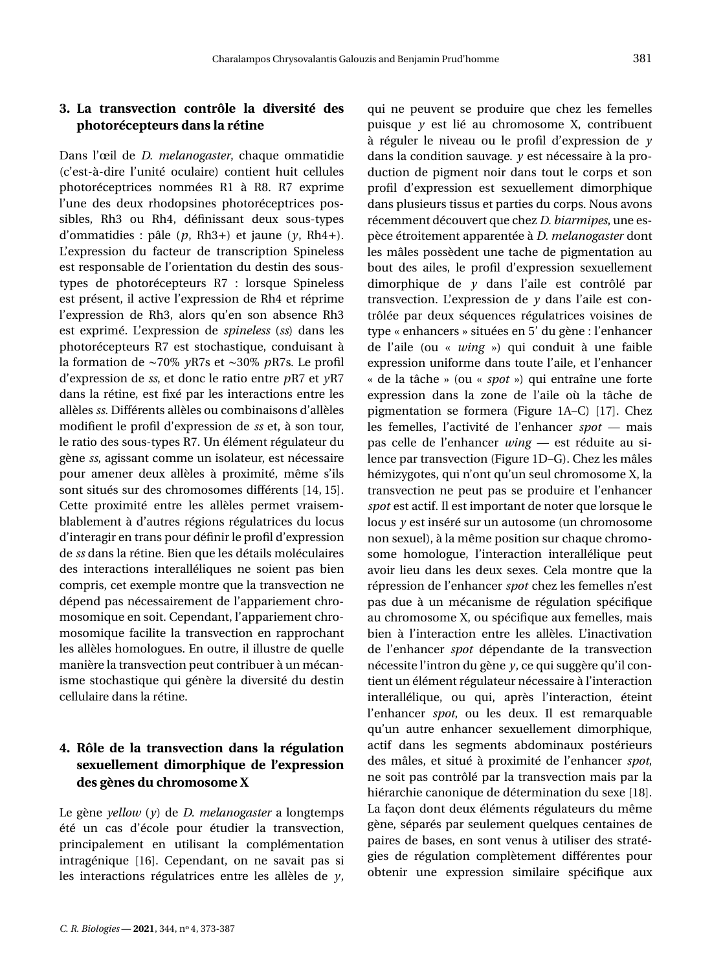# **3. La transvection contrôle la diversité des photorécepteurs dans la rétine**

Dans l'œil de *D. melanogaster*, chaque ommatidie (c'est-à-dire l'unité oculaire) contient huit cellules photoréceptrices nommées R1 à R8. R7 exprime l'une des deux rhodopsines photoréceptrices possibles, Rh3 ou Rh4, définissant deux sous-types d'ommatidies : pâle (*p*, Rh3+) et jaune (*y*, Rh4+). L'expression du facteur de transcription Spineless est responsable de l'orientation du destin des soustypes de photorécepteurs R7 : lorsque Spineless est présent, il active l'expression de Rh4 et réprime l'expression de Rh3, alors qu'en son absence Rh3 est exprimé. L'expression de *spineless* (*ss*) dans les photorécepteurs R7 est stochastique, conduisant à la formation de ∼70% *y*R7s et ∼30% *p*R7s. Le profil d'expression de *ss*, et donc le ratio entre *p*R7 et *y*R7 dans la rétine, est fixé par les interactions entre les allèles *ss*. Différents allèles ou combinaisons d'allèles modifient le profil d'expression de *ss* et, à son tour, le ratio des sous-types R7. Un élément régulateur du gène *ss*, agissant comme un isolateur, est nécessaire pour amener deux allèles à proximité, même s'ils sont situés sur des chromosomes différents [\[14,](#page-14-13) [15\]](#page-14-14). Cette proximité entre les allèles permet vraisemblablement à d'autres régions régulatrices du locus d'interagir en trans pour définir le profil d'expression de *ss* dans la rétine. Bien que les détails moléculaires des interactions interalléliques ne soient pas bien compris, cet exemple montre que la transvection ne dépend pas nécessairement de l'appariement chromosomique en soit. Cependant, l'appariement chromosomique facilite la transvection en rapprochant les allèles homologues. En outre, il illustre de quelle manière la transvection peut contribuer à un mécanisme stochastique qui génère la diversité du destin cellulaire dans la rétine.

# **4. Rôle de la transvection dans la régulation sexuellement dimorphique de l'expression des gènes du chromosome X**

Le gène *yellow* (*y*) de *D. melanogaster* a longtemps été un cas d'école pour étudier la transvection, principalement en utilisant la complémentation intragénique [\[16\]](#page-14-15). Cependant, on ne savait pas si les interactions régulatrices entre les allèles de *y*, qui ne peuvent se produire que chez les femelles puisque *y* est lié au chromosome X, contribuent à réguler le niveau ou le profil d'expression de *y* dans la condition sauvage. *y* est nécessaire à la production de pigment noir dans tout le corps et son profil d'expression est sexuellement dimorphique dans plusieurs tissus et parties du corps. Nous avons récemment découvert que chez *D. biarmipes*, une espèce étroitement apparentée à *D. melanogaster* dont les mâles possèdent une tache de pigmentation au bout des ailes, le profil d'expression sexuellement dimorphique de *y* dans l'aile est contrôlé par transvection. L'expression de *y* dans l'aile est contrôlée par deux séquences régulatrices voisines de type « enhancers » situées en 5' du gène : l'enhancer de l'aile (ou « *wing* ») qui conduit à une faible expression uniforme dans toute l'aile, et l'enhancer « de la tâche » (ou « *spot* ») qui entraîne une forte expression dans la zone de l'aile où la tâche de pigmentation se formera (Figure [1A](#page-11-0)–C) [\[17\]](#page-14-16). Chez les femelles, l'activité de l'enhancer *spot* — mais pas celle de l'enhancer *wing* — est réduite au silence par transvection (Figure [1D](#page-11-0)–G). Chez les mâles hémizygotes, qui n'ont qu'un seul chromosome X, la transvection ne peut pas se produire et l'enhancer *spot* est actif. Il est important de noter que lorsque le locus *y* est inséré sur un autosome (un chromosome non sexuel), à la même position sur chaque chromosome homologue, l'interaction interallélique peut avoir lieu dans les deux sexes. Cela montre que la répression de l'enhancer *spot* chez les femelles n'est pas due à un mécanisme de régulation spécifique au chromosome X, ou spécifique aux femelles, mais bien à l'interaction entre les allèles. L'inactivation de l'enhancer *spot* dépendante de la transvection nécessite l'intron du gène *y*, ce qui suggère qu'il contient un élément régulateur nécessaire à l'interaction interallélique, ou qui, après l'interaction, éteint l'enhancer *spot*, ou les deux. Il est remarquable qu'un autre enhancer sexuellement dimorphique, actif dans les segments abdominaux postérieurs des mâles, et situé à proximité de l'enhancer *spot*, ne soit pas contrôlé par la transvection mais par la hiérarchie canonique de détermination du sexe [\[18\]](#page-14-17). La façon dont deux éléments régulateurs du même gène, séparés par seulement quelques centaines de paires de bases, en sont venus à utiliser des stratégies de régulation complètement différentes pour obtenir une expression similaire spécifique aux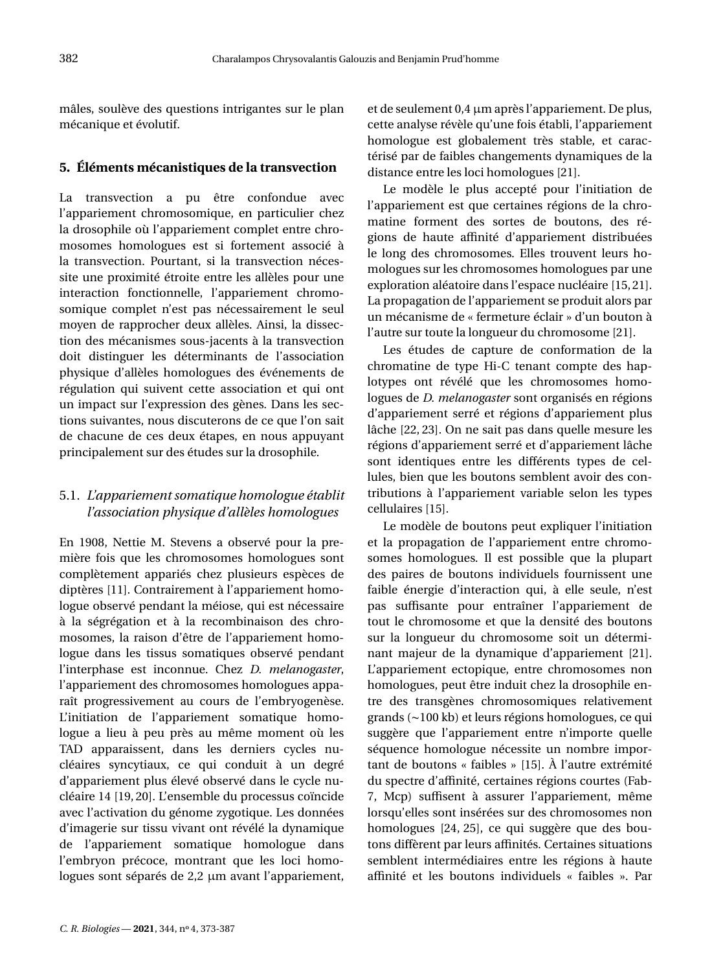mâles, soulève des questions intrigantes sur le plan mécanique et évolutif.

#### **5. Éléments mécanistiques de la transvection**

La transvection a pu être confondue avec l'appariement chromosomique, en particulier chez la drosophile où l'appariement complet entre chromosomes homologues est si fortement associé à la transvection. Pourtant, si la transvection nécessite une proximité étroite entre les allèles pour une interaction fonctionnelle, l'appariement chromosomique complet n'est pas nécessairement le seul moyen de rapprocher deux allèles. Ainsi, la dissection des mécanismes sous-jacents à la transvection doit distinguer les déterminants de l'association physique d'allèles homologues des événements de régulation qui suivent cette association et qui ont un impact sur l'expression des gènes. Dans les sections suivantes, nous discuterons de ce que l'on sait de chacune de ces deux étapes, en nous appuyant principalement sur des études sur la drosophile.

# 5.1. *L'appariement somatique homologue établit l'association physique d'allèles homologues*

En 1908, Nettie M. Stevens a observé pour la première fois que les chromosomes homologues sont complètement appariés chez plusieurs espèces de diptères [\[11\]](#page-14-10). Contrairement à l'appariement homologue observé pendant la méiose, qui est nécessaire à la ségrégation et à la recombinaison des chromosomes, la raison d'être de l'appariement homologue dans les tissus somatiques observé pendant l'interphase est inconnue. Chez *D. melanogaster*, l'appariement des chromosomes homologues apparaît progressivement au cours de l'embryogenèse. L'initiation de l'appariement somatique homologue a lieu à peu près au même moment où les TAD apparaissent, dans les derniers cycles nucléaires syncytiaux, ce qui conduit à un degré d'appariement plus élevé observé dans le cycle nucléaire 14 [\[19,](#page-14-18) [20\]](#page-14-19). L'ensemble du processus coïncide avec l'activation du génome zygotique. Les données d'imagerie sur tissu vivant ont révélé la dynamique de l'appariement somatique homologue dans l'embryon précoce, montrant que les loci homologues sont séparés de 2,2 μm avant l'appariement, et de seulement 0,4 µm après l'appariement. De plus, cette analyse révèle qu'une fois établi, l'appariement homologue est globalement très stable, et caractérisé par de faibles changements dynamiques de la distance entre les loci homologues [\[21\]](#page-14-20).

Le modèle le plus accepté pour l'initiation de l'appariement est que certaines régions de la chromatine forment des sortes de boutons, des régions de haute affinité d'appariement distribuées le long des chromosomes. Elles trouvent leurs homologues sur les chromosomes homologues par une exploration aléatoire dans l'espace nucléaire [\[15,](#page-14-14)[21\]](#page-14-20). La propagation de l'appariement se produit alors par un mécanisme de « fermeture éclair » d'un bouton à l'autre sur toute la longueur du chromosome [\[21\]](#page-14-20).

Les études de capture de conformation de la chromatine de type Hi-C tenant compte des haplotypes ont révélé que les chromosomes homologues de *D. melanogaster* sont organisés en régions d'appariement serré et régions d'appariement plus lâche [\[22,](#page-14-21) [23\]](#page-14-22). On ne sait pas dans quelle mesure les régions d'appariement serré et d'appariement lâche sont identiques entre les différents types de cellules, bien que les boutons semblent avoir des contributions à l'appariement variable selon les types cellulaires [\[15\]](#page-14-14).

Le modèle de boutons peut expliquer l'initiation et la propagation de l'appariement entre chromosomes homologues. Il est possible que la plupart des paires de boutons individuels fournissent une faible énergie d'interaction qui, à elle seule, n'est pas suffisante pour entraîner l'appariement de tout le chromosome et que la densité des boutons sur la longueur du chromosome soit un déterminant majeur de la dynamique d'appariement [\[21\]](#page-14-20). L'appariement ectopique, entre chromosomes non homologues, peut être induit chez la drosophile entre des transgènes chromosomiques relativement grands (∼100 kb) et leurs régions homologues, ce qui suggère que l'appariement entre n'importe quelle séquence homologue nécessite un nombre important de boutons « faibles » [\[15\]](#page-14-14). À l'autre extrémité du spectre d'affinité, certaines régions courtes (Fab-7, Mcp) suffisent à assurer l'appariement, même lorsqu'elles sont insérées sur des chromosomes non homologues [\[24,](#page-14-23) [25\]](#page-14-24), ce qui suggère que des boutons diffèrent par leurs affinités. Certaines situations semblent intermédiaires entre les régions à haute affinité et les boutons individuels « faibles ». Par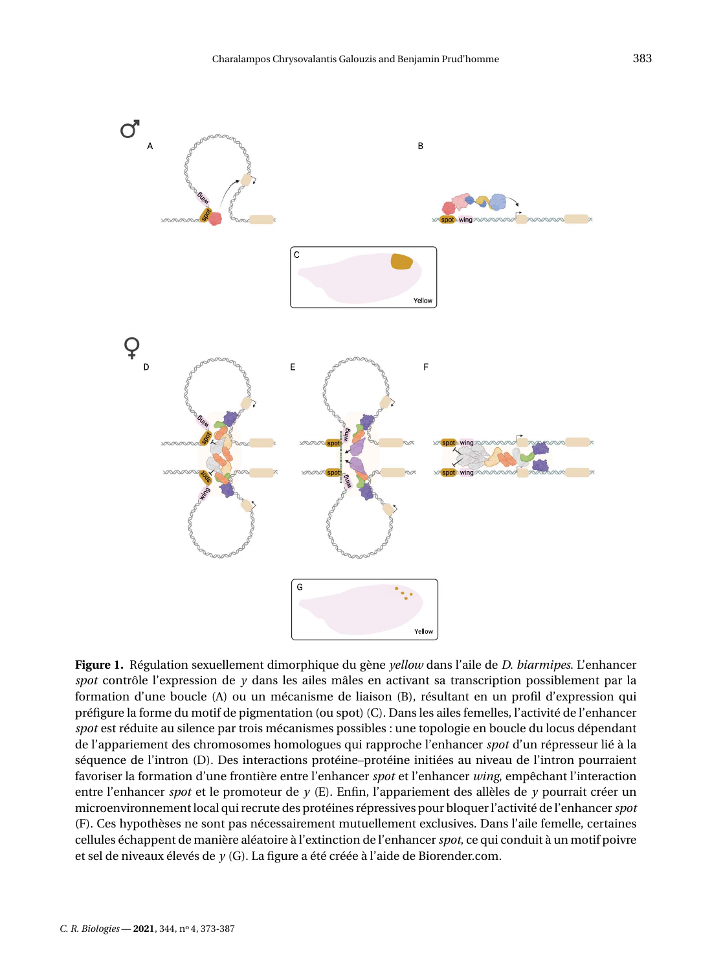

<span id="page-11-0"></span>**Figure 1.** Régulation sexuellement dimorphique du gène *yellow* dans l'aile de *D. biarmipes*. L'enhancer *spot* contrôle l'expression de *y* dans les ailes mâles en activant sa transcription possiblement par la formation d'une boucle (A) ou un mécanisme de liaison (B), résultant en un profil d'expression qui préfigure la forme du motif de pigmentation (ou spot) (C). Dans les ailes femelles, l'activité de l'enhancer *spot* est réduite au silence par trois mécanismes possibles : une topologie en boucle du locus dépendant de l'appariement des chromosomes homologues qui rapproche l'enhancer *spot* d'un répresseur lié à la séquence de l'intron (D). Des interactions protéine–protéine initiées au niveau de l'intron pourraient favoriser la formation d'une frontière entre l'enhancer *spot* et l'enhancer *wing*, empêchant l'interaction entre l'enhancer *spot* et le promoteur de *y* (E). Enfin, l'appariement des allèles de *y* pourrait créer un microenvironnement local qui recrute des protéines répressives pour bloquer l'activité de l'enhancer*spot* (F). Ces hypothèses ne sont pas nécessairement mutuellement exclusives. Dans l'aile femelle, certaines cellules échappent de manière aléatoire à l'extinction de l'enhancer*spot*, ce qui conduit à un motif poivre et sel de niveaux élevés de *y* (G). La figure a été créée à l'aide de [Biorender.com.](http://Biorender.com)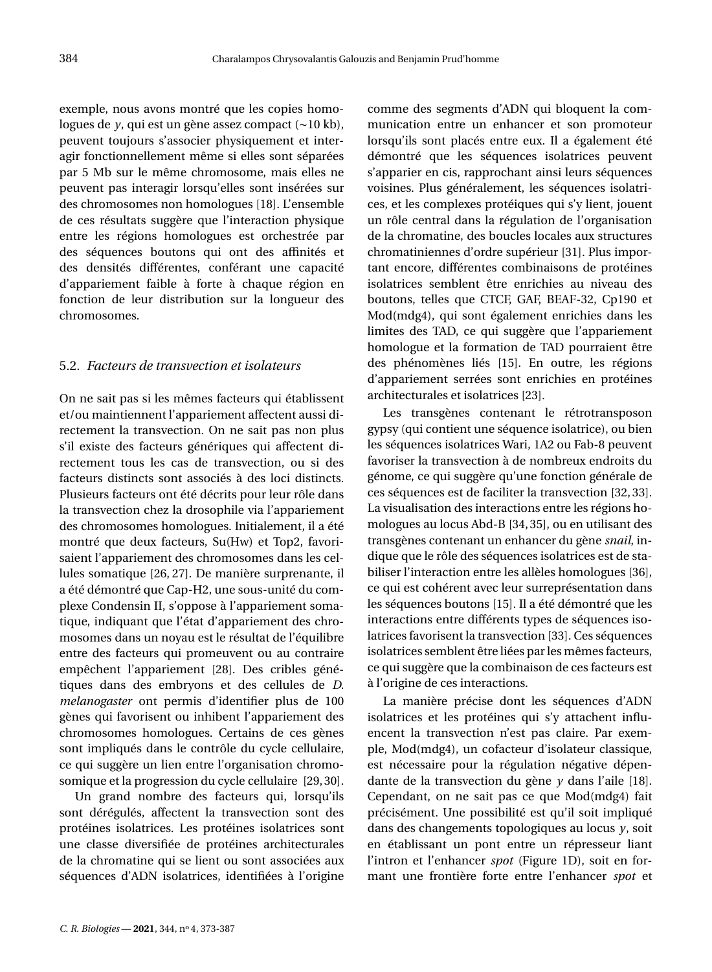exemple, nous avons montré que les copies homologues de *y*, qui est un gène assez compact (∼10 kb), peuvent toujours s'associer physiquement et interagir fonctionnellement même si elles sont séparées par 5 Mb sur le même chromosome, mais elles ne peuvent pas interagir lorsqu'elles sont insérées sur des chromosomes non homologues [\[18\]](#page-14-17). L'ensemble de ces résultats suggère que l'interaction physique entre les régions homologues est orchestrée par des séquences boutons qui ont des affinités et des densités différentes, conférant une capacité d'appariement faible à forte à chaque région en fonction de leur distribution sur la longueur des chromosomes.

#### 5.2. *Facteurs de transvection et isolateurs*

On ne sait pas si les mêmes facteurs qui établissent et/ou maintiennent l'appariement affectent aussi directement la transvection. On ne sait pas non plus s'il existe des facteurs génériques qui affectent directement tous les cas de transvection, ou si des facteurs distincts sont associés à des loci distincts. Plusieurs facteurs ont été décrits pour leur rôle dans la transvection chez la drosophile via l'appariement des chromosomes homologues. Initialement, il a été montré que deux facteurs, Su(Hw) et Top2, favorisaient l'appariement des chromosomes dans les cellules somatique [\[26,](#page-14-25) [27\]](#page-15-0). De manière surprenante, il a été démontré que Cap-H2, une sous-unité du complexe Condensin II, s'oppose à l'appariement somatique, indiquant que l'état d'appariement des chromosomes dans un noyau est le résultat de l'équilibre entre des facteurs qui promeuvent ou au contraire empêchent l'appariement [\[28\]](#page-15-1). Des cribles génétiques dans des embryons et des cellules de *D. melanogaster* ont permis d'identifier plus de 100 gènes qui favorisent ou inhibent l'appariement des chromosomes homologues. Certains de ces gènes sont impliqués dans le contrôle du cycle cellulaire, ce qui suggère un lien entre l'organisation chromosomique et la progression du cycle cellulaire [\[29,](#page-15-2)[30\]](#page-15-3).

Un grand nombre des facteurs qui, lorsqu'ils sont dérégulés, affectent la transvection sont des protéines isolatrices. Les protéines isolatrices sont une classe diversifiée de protéines architecturales de la chromatine qui se lient ou sont associées aux séquences d'ADN isolatrices, identifiées à l'origine comme des segments d'ADN qui bloquent la communication entre un enhancer et son promoteur lorsqu'ils sont placés entre eux. Il a également été démontré que les séquences isolatrices peuvent s'apparier en cis, rapprochant ainsi leurs séquences voisines. Plus généralement, les séquences isolatrices, et les complexes protéiques qui s'y lient, jouent un rôle central dans la régulation de l'organisation de la chromatine, des boucles locales aux structures chromatiniennes d'ordre supérieur [\[31\]](#page-15-4). Plus important encore, différentes combinaisons de protéines isolatrices semblent être enrichies au niveau des boutons, telles que CTCF, GAF, BEAF-32, Cp190 et Mod(mdg4), qui sont également enrichies dans les limites des TAD, ce qui suggère que l'appariement homologue et la formation de TAD pourraient être des phénomènes liés [\[15\]](#page-14-14). En outre, les régions d'appariement serrées sont enrichies en protéines architecturales et isolatrices [\[23\]](#page-14-22).

Les transgènes contenant le rétrotransposon gypsy (qui contient une séquence isolatrice), ou bien les séquences isolatrices Wari, 1A2 ou Fab-8 peuvent favoriser la transvection à de nombreux endroits du génome, ce qui suggère qu'une fonction générale de ces séquences est de faciliter la transvection [\[32,](#page-15-5) [33\]](#page-15-6). La visualisation des interactions entre les régions homologues au locus Abd-B [\[34,](#page-15-7) [35\]](#page-15-8), ou en utilisant des transgènes contenant un enhancer du gène *snail*, indique que le rôle des séquences isolatrices est de stabiliser l'interaction entre les allèles homologues [\[36\]](#page-15-9), ce qui est cohérent avec leur surreprésentation dans les séquences boutons [\[15\]](#page-14-14). Il a été démontré que les interactions entre différents types de séquences isolatrices favorisent la transvection [\[33\]](#page-15-6). Ces séquences isolatrices semblent être liées par les mêmes facteurs, ce qui suggère que la combinaison de ces facteurs est à l'origine de ces interactions.

La manière précise dont les séquences d'ADN isolatrices et les protéines qui s'y attachent influencent la transvection n'est pas claire. Par exemple, Mod(mdg4), un cofacteur d'isolateur classique, est nécessaire pour la régulation négative dépendante de la transvection du gène *y* dans l'aile [\[18\]](#page-14-17). Cependant, on ne sait pas ce que Mod(mdg4) fait précisément. Une possibilité est qu'il soit impliqué dans des changements topologiques au locus *y*, soit en établissant un pont entre un répresseur liant l'intron et l'enhancer *spot* (Figure [1D](#page-11-0)), soit en formant une frontière forte entre l'enhancer *spot* et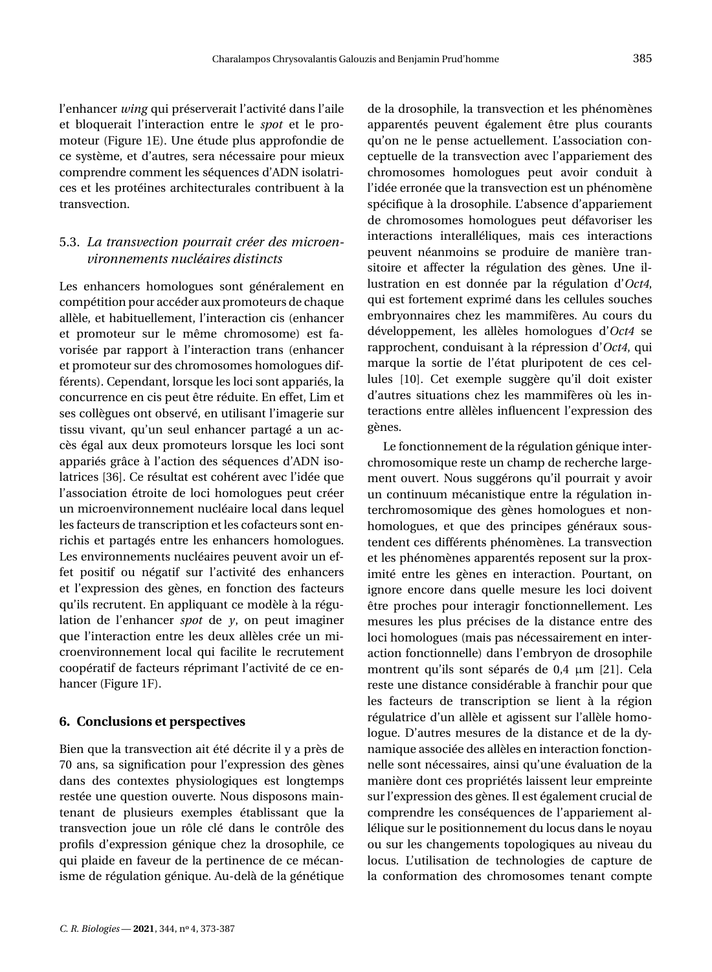l'enhancer *wing* qui préserverait l'activité dans l'aile et bloquerait l'interaction entre le *spot* et le promoteur (Figure [1E](#page-11-0)). Une étude plus approfondie de ce système, et d'autres, sera nécessaire pour mieux comprendre comment les séquences d'ADN isolatrices et les protéines architecturales contribuent à la transvection.

# 5.3. *La transvection pourrait créer des microenvironnements nucléaires distincts*

Les enhancers homologues sont généralement en compétition pour accéder aux promoteurs de chaque allèle, et habituellement, l'interaction cis (enhancer et promoteur sur le même chromosome) est favorisée par rapport à l'interaction trans (enhancer et promoteur sur des chromosomes homologues différents). Cependant, lorsque les loci sont appariés, la concurrence en cis peut être réduite. En effet, Lim et ses collègues ont observé, en utilisant l'imagerie sur tissu vivant, qu'un seul enhancer partagé a un accès égal aux deux promoteurs lorsque les loci sont appariés grâce à l'action des séquences d'ADN isolatrices [\[36\]](#page-15-9). Ce résultat est cohérent avec l'idée que l'association étroite de loci homologues peut créer un microenvironnement nucléaire local dans lequel les facteurs de transcription et les cofacteurs sont enrichis et partagés entre les enhancers homologues. Les environnements nucléaires peuvent avoir un effet positif ou négatif sur l'activité des enhancers et l'expression des gènes, en fonction des facteurs qu'ils recrutent. En appliquant ce modèle à la régulation de l'enhancer *spot* de *y*, on peut imaginer que l'interaction entre les deux allèles crée un microenvironnement local qui facilite le recrutement coopératif de facteurs réprimant l'activité de ce enhancer (Figure [1F](#page-11-0)).

#### **6. Conclusions et perspectives**

Bien que la transvection ait été décrite il y a près de 70 ans, sa signification pour l'expression des gènes dans des contextes physiologiques est longtemps restée une question ouverte. Nous disposons maintenant de plusieurs exemples établissant que la transvection joue un rôle clé dans le contrôle des profils d'expression génique chez la drosophile, ce qui plaide en faveur de la pertinence de ce mécanisme de régulation génique. Au-delà de la génétique

*C. R. Biologies* - 2021, 344, nº 4, 373-387

de la drosophile, la transvection et les phénomènes apparentés peuvent également être plus courants qu'on ne le pense actuellement. L'association conceptuelle de la transvection avec l'appariement des chromosomes homologues peut avoir conduit à l'idée erronée que la transvection est un phénomène spécifique à la drosophile. L'absence d'appariement de chromosomes homologues peut défavoriser les interactions interalléliques, mais ces interactions peuvent néanmoins se produire de manière transitoire et affecter la régulation des gènes. Une illustration en est donnée par la régulation d'*Oct4*, qui est fortement exprimé dans les cellules souches embryonnaires chez les mammifères. Au cours du développement, les allèles homologues d'*Oct4* se rapprochent, conduisant à la répression d'*Oct4*, qui marque la sortie de l'état pluripotent de ces cellules [\[10\]](#page-14-9). Cet exemple suggère qu'il doit exister d'autres situations chez les mammifères où les interactions entre allèles influencent l'expression des gènes.

Le fonctionnement de la régulation génique interchromosomique reste un champ de recherche largement ouvert. Nous suggérons qu'il pourrait y avoir un continuum mécanistique entre la régulation interchromosomique des gènes homologues et nonhomologues, et que des principes généraux soustendent ces différents phénomènes. La transvection et les phénomènes apparentés reposent sur la proximité entre les gènes en interaction. Pourtant, on ignore encore dans quelle mesure les loci doivent être proches pour interagir fonctionnellement. Les mesures les plus précises de la distance entre des loci homologues (mais pas nécessairement en interaction fonctionnelle) dans l'embryon de drosophile montrent qu'ils sont séparés de 0,4 µm [\[21\]](#page-14-20). Cela reste une distance considérable à franchir pour que les facteurs de transcription se lient à la région régulatrice d'un allèle et agissent sur l'allèle homologue. D'autres mesures de la distance et de la dynamique associée des allèles en interaction fonctionnelle sont nécessaires, ainsi qu'une évaluation de la manière dont ces propriétés laissent leur empreinte sur l'expression des gènes. Il est également crucial de comprendre les conséquences de l'appariement allélique sur le positionnement du locus dans le noyau ou sur les changements topologiques au niveau du locus. L'utilisation de technologies de capture de la conformation des chromosomes tenant compte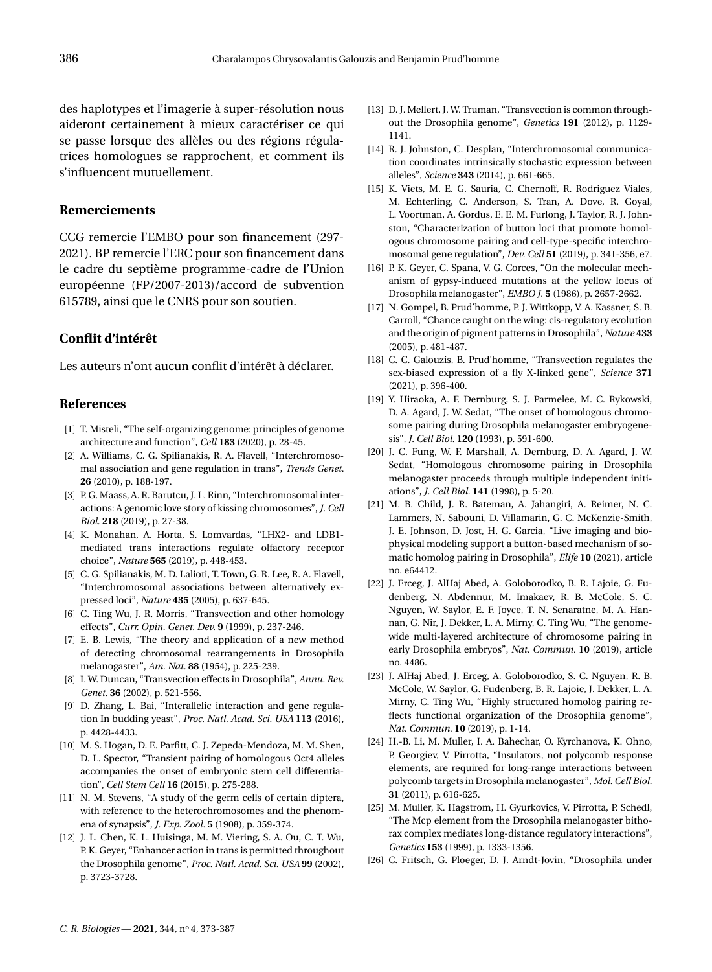des haplotypes et l'imagerie à super-résolution nous aideront certainement à mieux caractériser ce qui se passe lorsque des allèles ou des régions régulatrices homologues se rapprochent, et comment ils s'influencent mutuellement.

#### **Remerciements**

CCG remercie l'EMBO pour son financement (297- 2021). BP remercie l'ERC pour son financement dans le cadre du septième programme-cadre de l'Union européenne (FP/2007-2013)/accord de subvention 615789, ainsi que le CNRS pour son soutien.

#### **Conflit d'intérêt**

Les auteurs n'ont aucun conflit d'intérêt à déclarer.

# **References**

- <span id="page-14-0"></span>[1] T. Misteli, "The self-organizing genome: principles of genome architecture and function", *Cell* **183** (2020), p. 28-45.
- <span id="page-14-1"></span>[2] A. Williams, C. G. Spilianakis, R. A. Flavell, "Interchromosomal association and gene regulation in trans", *Trends Genet.* **26** (2010), p. 188-197.
- <span id="page-14-2"></span>[3] P. G. Maass, A. R. Barutcu, J. L. Rinn, "Interchromosomal interactions: A genomic love story of kissing chromosomes", *J. Cell Biol.* **218** (2019), p. 27-38.
- <span id="page-14-3"></span>[4] K. Monahan, A. Horta, S. Lomvardas, "LHX2- and LDB1 mediated trans interactions regulate olfactory receptor choice", *Nature* **565** (2019), p. 448-453.
- <span id="page-14-4"></span>[5] C. G. Spilianakis, M. D. Lalioti, T. Town, G. R. Lee, R. A. Flavell, "Interchromosomal associations between alternatively expressed loci", *Nature* **435** (2005), p. 637-645.
- <span id="page-14-5"></span>[6] C. Ting Wu, J. R. Morris, "Transvection and other homology effects", *Curr. Opin. Genet. Dev.* **9** (1999), p. 237-246.
- <span id="page-14-6"></span>[7] E. B. Lewis, "The theory and application of a new method of detecting chromosomal rearrangements in Drosophila melanogaster", *Am. Nat.* **88** (1954), p. 225-239.
- <span id="page-14-7"></span>[8] I. W. Duncan, "Transvection effects in Drosophila", *Annu. Rev. Genet.* **36** (2002), p. 521-556.
- <span id="page-14-8"></span>[9] D. Zhang, L. Bai, "Interallelic interaction and gene regulation In budding yeast", *Proc. Natl. Acad. Sci. USA* **113** (2016), p. 4428-4433.
- <span id="page-14-9"></span>[10] M. S. Hogan, D. E. Parfitt, C. J. Zepeda-Mendoza, M. M. Shen, D. L. Spector, "Transient pairing of homologous Oct4 alleles accompanies the onset of embryonic stem cell differentiation", *Cell Stem Cell* **16** (2015), p. 275-288.
- <span id="page-14-10"></span>[11] N. M. Stevens, "A study of the germ cells of certain diptera, with reference to the heterochromosomes and the phenomena of synapsis", *J. Exp. Zool.* **5** (1908), p. 359-374.
- <span id="page-14-11"></span>[12] J. L. Chen, K. L. Huisinga, M. M. Viering, S. A. Ou, C. T. Wu, P. K. Geyer, "Enhancer action in trans is permitted throughout the Drosophila genome", *Proc. Natl. Acad. Sci. USA* **99** (2002), p. 3723-3728.
- <span id="page-14-12"></span>[13] D. J. Mellert, J. W. Truman, "Transvection is common throughout the Drosophila genome", *Genetics* **191** (2012), p. 1129- 1141.
- <span id="page-14-13"></span>[14] R. J. Johnston, C. Desplan, "Interchromosomal communication coordinates intrinsically stochastic expression between alleles", *Science* **343** (2014), p. 661-665.
- <span id="page-14-14"></span>[15] K. Viets, M. E. G. Sauria, C. Chernoff, R. Rodriguez Viales, M. Echterling, C. Anderson, S. Tran, A. Dove, R. Goyal, L. Voortman, A. Gordus, E. E. M. Furlong, J. Taylor, R. J. Johnston, "Characterization of button loci that promote homologous chromosome pairing and cell-type-specific interchromosomal gene regulation", *Dev. Cell* **51** (2019), p. 341-356, e7.
- <span id="page-14-15"></span>[16] P. K. Geyer, C. Spana, V. G. Corces, "On the molecular mechanism of gypsy-induced mutations at the yellow locus of Drosophila melanogaster", *EMBO J.* **5** (1986), p. 2657-2662.
- <span id="page-14-16"></span>[17] N. Gompel, B. Prud'homme, P. J. Wittkopp, V. A. Kassner, S. B. Carroll, "Chance caught on the wing: cis-regulatory evolution and the origin of pigment patterns in Drosophila", *Nature* **433** (2005), p. 481-487.
- <span id="page-14-17"></span>[18] C. C. Galouzis, B. Prud'homme, "Transvection regulates the sex-biased expression of a fly X-linked gene", *Science* **371** (2021), p. 396-400.
- <span id="page-14-18"></span>[19] Y. Hiraoka, A. F. Dernburg, S. J. Parmelee, M. C. Rykowski, D. A. Agard, J. W. Sedat, "The onset of homologous chromosome pairing during Drosophila melanogaster embryogenesis", *J. Cell Biol.* **120** (1993), p. 591-600.
- <span id="page-14-19"></span>[20] J. C. Fung, W. F. Marshall, A. Dernburg, D. A. Agard, J. W. Sedat, "Homologous chromosome pairing in Drosophila melanogaster proceeds through multiple independent initiations", *J. Cell Biol.* **141** (1998), p. 5-20.
- <span id="page-14-20"></span>[21] M. B. Child, J. R. Bateman, A. Jahangiri, A. Reimer, N. C. Lammers, N. Sabouni, D. Villamarin, G. C. McKenzie-Smith, J. E. Johnson, D. Jost, H. G. Garcia, "Live imaging and biophysical modeling support a button-based mechanism of somatic homolog pairing in Drosophila", *Elife* **10** (2021), article no. e64412.
- <span id="page-14-21"></span>[22] J. Erceg, J. AlHaj Abed, A. Goloborodko, B. R. Lajoie, G. Fudenberg, N. Abdennur, M. Imakaev, R. B. McCole, S. C. Nguyen, W. Saylor, E. F. Joyce, T. N. Senaratne, M. A. Hannan, G. Nir, J. Dekker, L. A. Mirny, C. Ting Wu, "The genomewide multi-layered architecture of chromosome pairing in early Drosophila embryos", *Nat. Commun.* **10** (2019), article no. 4486.
- <span id="page-14-22"></span>[23] J. AlHaj Abed, J. Erceg, A. Goloborodko, S. C. Nguyen, R. B. McCole, W. Saylor, G. Fudenberg, B. R. Lajoie, J. Dekker, L. A. Mirny, C. Ting Wu, "Highly structured homolog pairing reflects functional organization of the Drosophila genome", *Nat. Commun.* **10** (2019), p. 1-14.
- <span id="page-14-23"></span>[24] H.-B. Li, M. Muller, I. A. Bahechar, O. Kyrchanova, K. Ohno, P. Georgiev, V. Pirrotta, "Insulators, not polycomb response elements, are required for long-range interactions between polycomb targets in Drosophila melanogaster", *Mol. Cell Biol.* **31** (2011), p. 616-625.
- <span id="page-14-24"></span>[25] M. Muller, K. Hagstrom, H. Gyurkovics, V. Pirrotta, P. Schedl, "The Mcp element from the Drosophila melanogaster bithorax complex mediates long-distance regulatory interactions", *Genetics* **153** (1999), p. 1333-1356.
- <span id="page-14-25"></span>[26] C. Fritsch, G. Ploeger, D. J. Arndt-Jovin, "Drosophila under